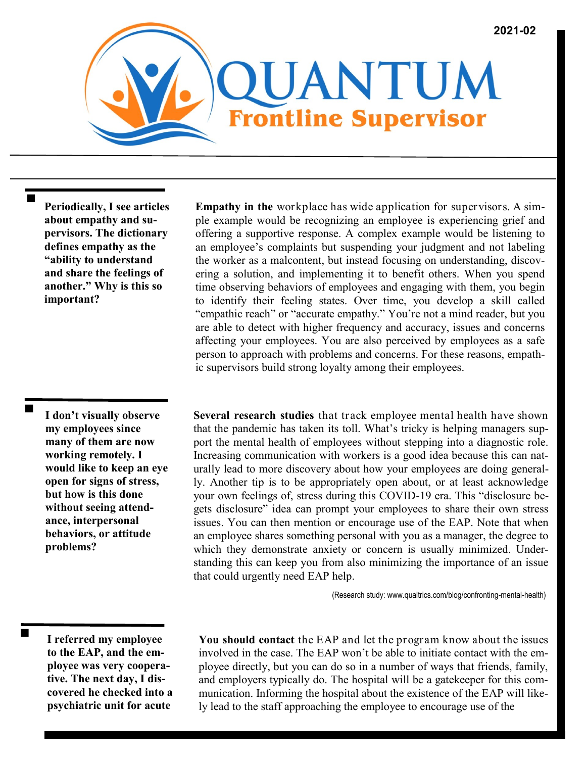

**Periodically, I see articles about empathy and supervisors. The dictionary defines empathy as the "ability to understand and share the feelings of another." Why is this so important?**

**I don't visually observe my employees since many of them are now working remotely. I would like to keep an eye open for signs of stress, but how is this done without seeing attendance, interpersonal behaviors, or attitude problems?** 

▬

**Empathy in the** workplace has wide application for supervisors. A simple example would be recognizing an employee is experiencing grief and offering a supportive response. A complex example would be listening to an employee's complaints but suspending your judgment and not labeling the worker as a malcontent, but instead focusing on understanding, discovering a solution, and implementing it to benefit others. When you spend time observing behaviors of employees and engaging with them, you begin to identify their feeling states. Over time, you develop a skill called "empathic reach" or "accurate empathy." You're not a mind reader, but you are able to detect with higher frequency and accuracy, issues and concerns affecting your employees. You are also perceived by employees as a safe person to approach with problems and concerns. For these reasons, empathic supervisors build strong loyalty among their employees.

**Several research studies** that track employee mental health have shown that the pandemic has taken its toll. What's tricky is helping managers support the mental health of employees without stepping into a diagnostic role. Increasing communication with workers is a good idea because this can naturally lead to more discovery about how your employees are doing generally. Another tip is to be appropriately open about, or at least acknowledge your own feelings of, stress during this COVID-19 era. This "disclosure begets disclosure" idea can prompt your employees to share their own stress issues. You can then mention or encourage use of the EAP. Note that when an employee shares something personal with you as a manager, the degree to which they demonstrate anxiety or concern is usually minimized. Understanding this can keep you from also minimizing the importance of an issue that could urgently need EAP help.

(Research study: www.qualtrics.com/blog/confronting-mental-health)

**I referred my employee to the EAP, and the employee was very cooperative. The next day, I discovered he checked into a psychiatric unit for acute** 

**You should contact** the EAP and let the program know about the issues involved in the case. The EAP won't be able to initiate contact with the employee directly, but you can do so in a number of ways that friends, family, and employers typically do. The hospital will be a gatekeeper for this communication. Informing the hospital about the existence of the EAP will likely lead to the staff approaching the employee to encourage use of the